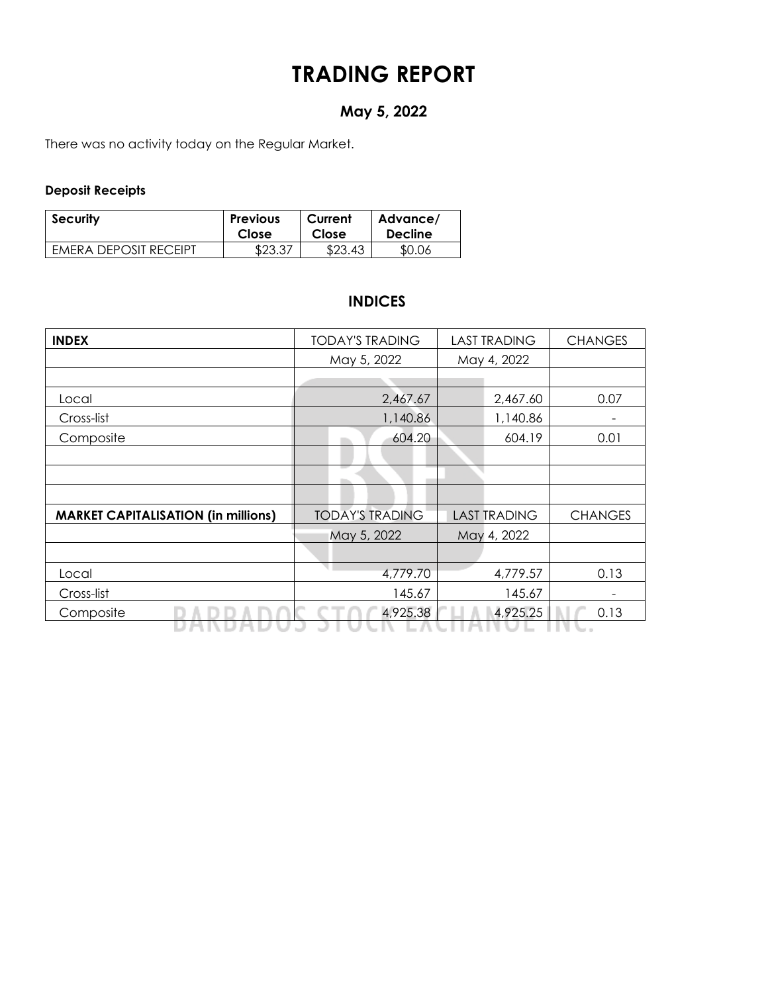# **TRADING REPORT**

## **May 5, 2022**

There was no activity today on the Regular Market.

### **Deposit Receipts**

| <b>Security</b>       | <b>Previous</b> | Current | Advance/       |
|-----------------------|-----------------|---------|----------------|
|                       | Close           | Close   | <b>Decline</b> |
| EMERA DEPOSIT RECEIPT | \$23.37         | \$23.43 | \$0.06         |

### **INDICES**

| <b>INDEX</b>                               | <b>TODAY'S TRADING</b> | <b>LAST TRADING</b> | <b>CHANGES</b> |
|--------------------------------------------|------------------------|---------------------|----------------|
|                                            | May 5, 2022            | May 4, 2022         |                |
|                                            |                        |                     |                |
| Local                                      | 2,467.67               | 2,467.60            | 0.07           |
| Cross-list                                 | 1,140.86               | 1,140.86            | -              |
| Composite                                  | 604.20                 | 604.19              | 0.01           |
|                                            |                        |                     |                |
|                                            |                        |                     |                |
|                                            |                        |                     |                |
| <b>MARKET CAPITALISATION (in millions)</b> | <b>TODAY'S TRADING</b> | <b>LAST TRADING</b> | <b>CHANGES</b> |
|                                            | May 5, 2022            | May 4, 2022         |                |
|                                            |                        |                     |                |
| Local                                      | 4,779.70               | 4,779.57            | 0.13           |
| Cross-list                                 | 145.67                 | 145.67              |                |
| Composite                                  | 4,925.38               | 4,925.25            | 0.13           |
|                                            |                        |                     |                |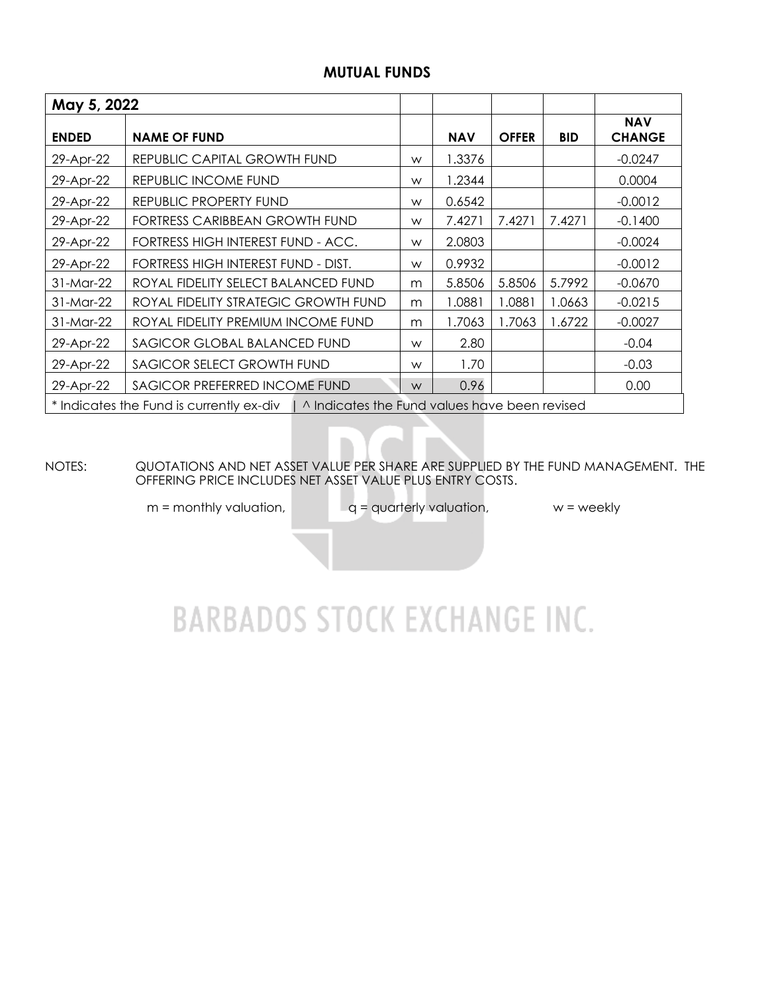### **MUTUAL FUNDS**

| May 5, 2022                                                                              |                                      |   |            |              |            |                             |  |  |  |
|------------------------------------------------------------------------------------------|--------------------------------------|---|------------|--------------|------------|-----------------------------|--|--|--|
| <b>ENDED</b>                                                                             | <b>NAME OF FUND</b>                  |   | <b>NAV</b> | <b>OFFER</b> | <b>BID</b> | <b>NAV</b><br><b>CHANGE</b> |  |  |  |
| 29-Apr-22                                                                                | REPUBLIC CAPITAL GROWTH FUND         | W | 1.3376     |              |            | $-0.0247$                   |  |  |  |
| 29-Apr-22                                                                                | REPUBLIC INCOME FUND                 | W | 1.2344     |              |            | 0.0004                      |  |  |  |
| 29-Apr-22                                                                                | REPUBLIC PROPERTY FUND               | W | 0.6542     |              |            | $-0.0012$                   |  |  |  |
| 29-Apr-22                                                                                | FORTRESS CARIBBEAN GROWTH FUND       | W | 7.4271     | 7.4271       | 7.4271     | $-0.1400$                   |  |  |  |
| 29-Apr-22                                                                                | FORTRESS HIGH INTEREST FUND - ACC.   | W | 2.0803     |              |            | $-0.0024$                   |  |  |  |
| 29-Apr-22                                                                                | FORTRESS HIGH INTEREST FUND - DIST.  | W | 0.9932     |              |            | $-0.0012$                   |  |  |  |
| 31-Mar-22                                                                                | ROYAL FIDELITY SELECT BALANCED FUND  | m | 5.8506     | 5.8506       | 5.7992     | $-0.0670$                   |  |  |  |
| 31-Mar-22                                                                                | ROYAL FIDELITY STRATEGIC GROWTH FUND | m | 1.0881     | 1.0881       | 1.0663     | $-0.0215$                   |  |  |  |
| 31-Mar-22                                                                                | ROYAL FIDELITY PREMIUM INCOME FUND   | m | 1.7063     | 1.7063       | 1.6722     | $-0.0027$                   |  |  |  |
| 29-Apr-22                                                                                | SAGICOR GLOBAL BALANCED FUND         | W | 2.80       |              |            | $-0.04$                     |  |  |  |
| 29-Apr-22                                                                                | SAGICOR SELECT GROWTH FUND           | W | 1.70       |              |            | $-0.03$                     |  |  |  |
| SAGICOR PREFERRED INCOME FUND<br>29-Apr-22                                               |                                      |   | 0.96       |              |            | 0.00                        |  |  |  |
| * Indicates the Fund is currently ex-div   ^ Indicates the Fund values have been revised |                                      |   |            |              |            |                             |  |  |  |

NOTES: QUOTATIONS AND NET ASSET VALUE PER SHARE ARE SUPPLIED BY THE FUND MANAGEMENT. THE OFFERING PRICE INCLUDES NET ASSET VALUE PLUS ENTRY COSTS.

 $m =$  monthly valuation,  $q =$  quarterly valuation,  $w =$  weekly

# **BARBADOS STOCK EXCHANGE INC.**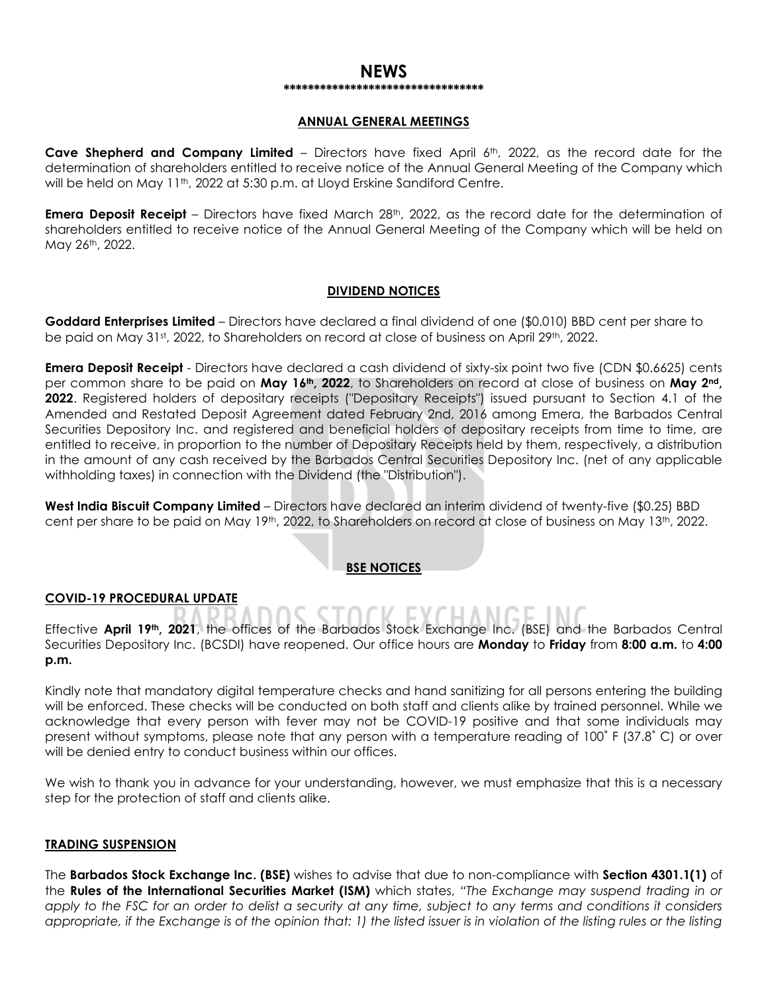#### **NEWS \*\*\*\*\*\*\*\*\*\*\*\*\*\*\*\*\*\*\*\*\*\*\*\*\*\*\*\*\*\*\*\*\***

#### **ANNUAL GENERAL MEETINGS**

**Cave Shepherd and Company Limited** – Directors have fixed April 6th, 2022, as the record date for the determination of shareholders entitled to receive notice of the Annual General Meeting of the Company which will be held on May 11<sup>th</sup>, 2022 at 5:30 p.m. at Lloyd Erskine Sandiford Centre.

**Emera Deposit Receipt** – Directors have fixed March 28<sup>th</sup>, 2022, as the record date for the determination of shareholders entitled to receive notice of the Annual General Meeting of the Company which will be held on May 26th, 2022.

#### **DIVIDEND NOTICES**

**Goddard Enterprises Limited** – Directors have declared a final dividend of one (\$0.010) BBD cent per share to be paid on May 31st, 2022, to Shareholders on record at close of business on April 29th, 2022.

**Emera Deposit Receipt** - Directors have declared a cash dividend of sixty-six point two five (CDN \$0.6625) cents per common share to be paid on **May 16th, 2022**, to Shareholders on record at close of business on **May 2nd, 2022**. Registered holders of depositary receipts ("Depositary Receipts") issued pursuant to Section 4.1 of the Amended and Restated Deposit Agreement dated February 2nd, 2016 among Emera, the Barbados Central Securities Depository Inc. and registered and beneficial holders of depositary receipts from time to time, are entitled to receive, in proportion to the number of Depositary Receipts held by them, respectively, a distribution in the amount of any cash received by the Barbados Central Securities Depository Inc. (net of any applicable withholding taxes) in connection with the Dividend (the "Distribution").

**West India Biscuit Company Limited** – Directors have declared an interim dividend of twenty-five (\$0.25) BBD cent per share to be paid on May 19th, 2022, to Shareholders on record at close of business on May 13th, 2022.

#### **BSE NOTICES**

#### **COVID-19 PROCEDURAL UPDATE**

Effective **April 19th, 2021**, the offices of the Barbados Stock Exchange Inc. (BSE) and the Barbados Central Securities Depository Inc. (BCSDI) have reopened. Our office hours are **Monday** to **Friday** from **8:00 a.m.** to **4:00 p.m.**

Kindly note that mandatory digital temperature checks and hand sanitizing for all persons entering the building will be enforced. These checks will be conducted on both staff and clients alike by trained personnel. While we acknowledge that every person with fever may not be COVID-19 positive and that some individuals may present without symptoms, please note that any person with a temperature reading of 100˚ F (37.8˚ C) or over will be denied entry to conduct business within our offices.

We wish to thank you in advance for your understanding, however, we must emphasize that this is a necessary step for the protection of staff and clients alike.

#### **TRADING SUSPENSION**

The **Barbados Stock Exchange Inc. (BSE)** wishes to advise that due to non-compliance with **Section 4301.1(1)** of the **Rules of the International Securities Market (ISM)** which states, *"The Exchange may suspend trading in or apply to the FSC for an order to delist a security at any time, subject to any terms and conditions it considers appropriate, if the Exchange is of the opinion that: 1) the listed issuer is in violation of the listing rules or the listing*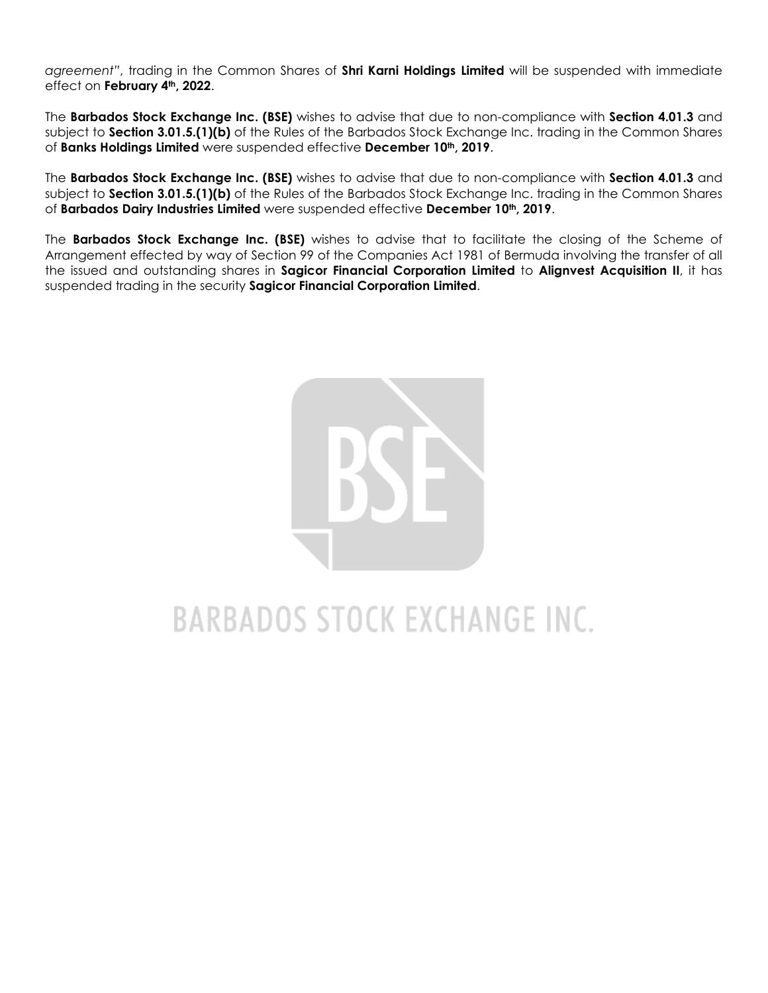*agreement"*, trading in the Common Shares of **Shri Karni Holdings Limited** will be suspended with immediate effect on **February 4th, 2022**.

The **Barbados Stock Exchange Inc. (BSE)** wishes to advise that due to non-compliance with **Section 4.01.3** and subject to **Section 3.01.5.(1)(b)** of the Rules of the Barbados Stock Exchange Inc. trading in the Common Shares of **Banks Holdings Limited** were suspended effective **December 10th, 2019**.

The **Barbados Stock Exchange Inc. (BSE)** wishes to advise that due to non-compliance with **Section 4.01.3** and subject to **Section 3.01.5.(1)(b)** of the Rules of the Barbados Stock Exchange Inc. trading in the Common Shares of **Barbados Dairy Industries Limited** were suspended effective **December 10th, 2019**.

The **Barbados Stock Exchange Inc. (BSE)** wishes to advise that to facilitate the closing of the Scheme of Arrangement effected by way of Section 99 of the Companies Act 1981 of Bermuda involving the transfer of all the issued and outstanding shares in **Sagicor Financial Corporation Limited** to **Alignvest Acquisition II**, it has suspended trading in the security **Sagicor Financial Corporation Limited**.



# **BARBADOS STOCK EXCHANGE INC.**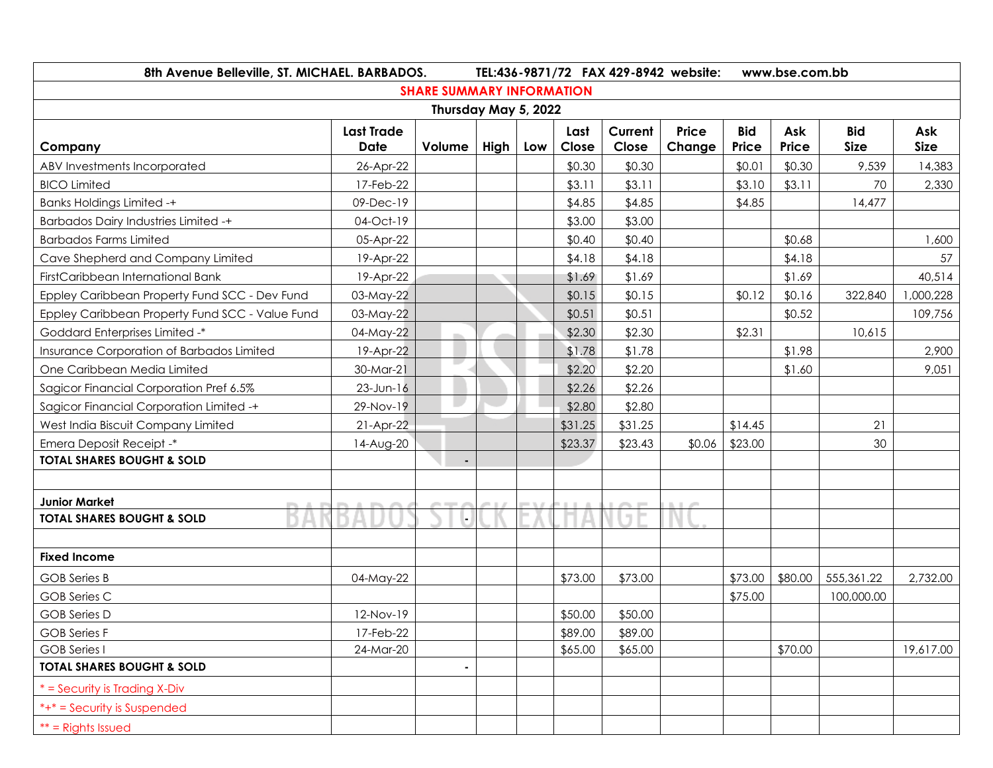| 8th Avenue Belleville, ST. MICHAEL. BARBADOS.   | TEL:436-9871/72 FAX 429-8942 website:<br>www.bse.com.bb |        |      |     |               |                  |                 |                     |              |                           |                    |
|-------------------------------------------------|---------------------------------------------------------|--------|------|-----|---------------|------------------|-----------------|---------------------|--------------|---------------------------|--------------------|
| <b>SHARE SUMMARY INFORMATION</b>                |                                                         |        |      |     |               |                  |                 |                     |              |                           |                    |
| Thursday May 5, 2022                            |                                                         |        |      |     |               |                  |                 |                     |              |                           |                    |
| Company                                         | <b>Last Trade</b><br>Date                               | Volume | High | Low | Last<br>Close | Current<br>Close | Price<br>Change | <b>Bid</b><br>Price | Ask<br>Price | <b>Bid</b><br><b>Size</b> | Ask<br><b>Size</b> |
| ABV Investments Incorporated                    | 26-Apr-22                                               |        |      |     | \$0.30        | \$0.30           |                 | \$0.01              | \$0.30       | 9,539                     | 14,383             |
| <b>BICO Limited</b>                             | 17-Feb-22                                               |        |      |     | \$3.11        | \$3.11           |                 | \$3.10              | \$3.11       | 70                        | 2,330              |
| <b>Banks Holdings Limited -+</b>                | 09-Dec-19                                               |        |      |     | \$4.85        | \$4.85           |                 | \$4.85              |              | 14,477                    |                    |
| <b>Barbados Dairy Industries Limited -+</b>     | 04-Oct-19                                               |        |      |     | \$3.00        | \$3.00           |                 |                     |              |                           |                    |
| <b>Barbados Farms Limited</b>                   | 05-Apr-22                                               |        |      |     | \$0.40        | \$0.40           |                 |                     | \$0.68       |                           | 1,600              |
| Cave Shepherd and Company Limited               | 19-Apr-22                                               |        |      |     | \$4.18        | \$4.18           |                 |                     | \$4.18       |                           | 57                 |
| FirstCaribbean International Bank               | 19-Apr-22                                               |        |      |     | \$1.69        | \$1.69           |                 |                     | \$1.69       |                           | 40,514             |
| Eppley Caribbean Property Fund SCC - Dev Fund   | 03-May-22                                               |        |      |     | \$0.15        | \$0.15           |                 | \$0.12              | \$0.16       | 322,840                   | 1,000,228          |
| Eppley Caribbean Property Fund SCC - Value Fund | 03-May-22                                               |        |      |     | \$0.51        | \$0.51           |                 |                     | \$0.52       |                           | 109,756            |
| <b>Goddard Enterprises Limited -*</b>           | 04-May-22                                               |        |      |     | \$2.30        | \$2.30           |                 | \$2.31              |              | 10,615                    |                    |
| Insurance Corporation of Barbados Limited       | 19-Apr-22                                               |        |      |     | \$1.78        | \$1.78           |                 |                     | \$1.98       |                           | 2,900              |
| One Caribbean Media Limited                     | 30-Mar-21                                               | L.     |      |     | \$2.20        | \$2.20           |                 |                     | \$1.60       |                           | 9,051              |
| Sagicor Financial Corporation Pref 6.5%         | $23$ -Jun-16                                            |        |      |     | \$2.26        | \$2.26           |                 |                     |              |                           |                    |
| Sagicor Financial Corporation Limited -+        | 29-Nov-19                                               |        |      |     | \$2.80        | \$2.80           |                 |                     |              |                           |                    |
| West India Biscuit Company Limited              | $21-Apr-22$                                             |        |      |     | \$31.25       | \$31.25          |                 | \$14.45             |              | 21                        |                    |
| Emera Deposit Receipt -*                        | 14-Aug-20                                               |        |      |     | \$23.37       | \$23.43          | \$0.06          | \$23.00             |              | 30                        |                    |
| <b>TOTAL SHARES BOUGHT &amp; SOLD</b>           |                                                         | ٠      |      |     |               |                  |                 |                     |              |                           |                    |
|                                                 |                                                         |        |      |     |               |                  |                 |                     |              |                           |                    |
| <b>Junior Market</b>                            |                                                         |        |      |     |               |                  |                 |                     |              |                           |                    |
| <b>TOTAL SHARES BOUGHT &amp; SOLD</b>           |                                                         |        |      |     |               |                  |                 |                     |              |                           |                    |
|                                                 |                                                         |        |      |     |               |                  |                 |                     |              |                           |                    |
| <b>Fixed Income</b>                             |                                                         |        |      |     |               |                  |                 |                     |              |                           |                    |
| GOB Series B                                    | 04-May-22                                               |        |      |     | \$73.00       | \$73.00          |                 | \$73.00             | \$80.00      | 555, 361.22               | 2,732.00           |
| <b>GOB</b> Series C                             |                                                         |        |      |     |               |                  |                 | \$75.00             |              | 100,000.00                |                    |
| <b>GOB</b> Series D                             | 12-Nov-19                                               |        |      |     | \$50.00       | \$50.00          |                 |                     |              |                           |                    |
| <b>GOB</b> Series F                             | 17-Feb-22                                               |        |      |     | \$89.00       | \$89.00          |                 |                     |              |                           |                    |
| <b>GOB</b> Series I                             | 24-Mar-20                                               |        |      |     | \$65.00       | \$65.00          |                 |                     | \$70.00      |                           | 19,617.00          |
| <b>TOTAL SHARES BOUGHT &amp; SOLD</b>           |                                                         |        |      |     |               |                  |                 |                     |              |                           |                    |
| $*$ = Security is Trading X-Div                 |                                                         |        |      |     |               |                  |                 |                     |              |                           |                    |
| *+* = Security is Suspended                     |                                                         |        |      |     |               |                  |                 |                     |              |                           |                    |
| $**$ = Rights Issued                            |                                                         |        |      |     |               |                  |                 |                     |              |                           |                    |